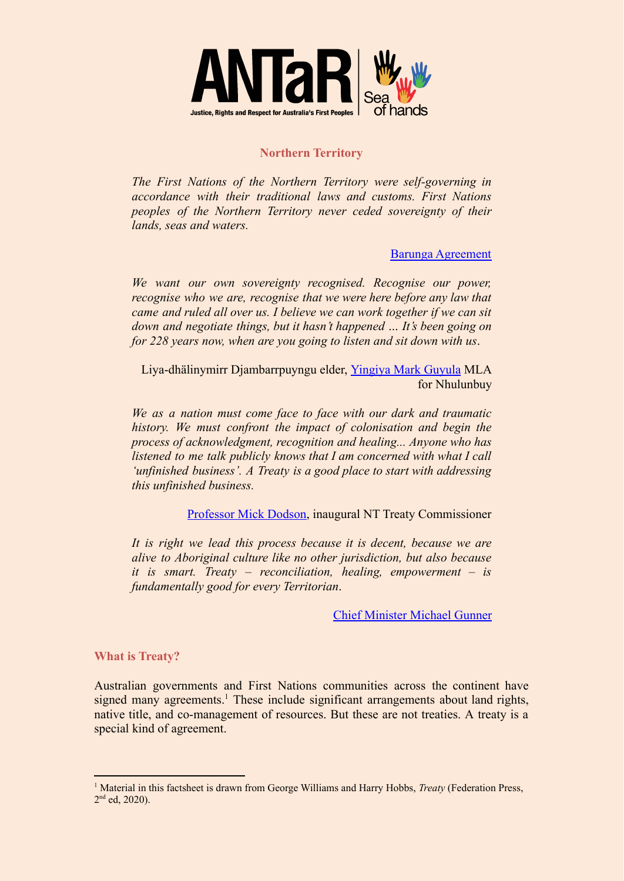

## **Northern Territory**

*The First Nations of the Northern Territory were self-governing in accordance with their traditional laws and customs. First Nations peoples of the Northern Territory never ceded sovereignty of their lands, seas and waters.*

[Barunga Agreement](https://dcm.nt.gov.au/__data/assets/pdf_file/0003/514272/barunga-muo-treaty.pdf)

*We want our own sovereignty recognised. Recognise our power, recognise who we are, recognise that we were here before any law that came and ruled all over us. I believe we can work together if we can sit down and negotiate things, but it hasn't happened … It's been going on for 228 years now, when are you going to listen and sit down with us*.

Liya-dhälinymirr Djambarrpuyngu elder, [Yingiya Mark](https://www.theguardian.com/australia-news/2016/mar/11/treaty-push-should-replace-indigenous-recognise-campaign-says-yolngu-leader) Guyula MLA for Nhulunbuy

*We as a nation must come face to face with our dark and traumatic history. We must confront the impact of colonisation and begin the process of acknowledgment, recognition and healing... Anyone who has listened to me talk publicly knows that I am concerned with what I call 'unfinished business'. A Treaty is a good place to start with addressing this unfinished business.*

[Professor Mick Dodson,](https://www.sbs.com.au/nitv/nitv-news/article/2019/02/18/unfinished-business-mick-dodson-appointed-nt-treaty-commissioner) inaugural NT Treaty Commissioner

*It is right we lead this process because it is decent, because we are alive to Aboriginal culture like no other jurisdiction, but also because it is smart. Treaty – reconciliation, healing, empowerment – is fundamentally good for every Territorian*.

[Chief Minister Michael Gunner](https://www.theguardian.com/australia-news/2018/jun/09/historic-northern-territory-treaty-agreement-means-the-old-way-is-finished?CMP=gu_com)

## **What is Treaty?**

Australian governments and First Nations communities across the continent have signed many agreements.<sup>1</sup> These include significant arrangements about land rights, native title, and co-management of resources. But these are not treaties. A treaty is a special kind of agreement.

<sup>1</sup> Material in this factsheet is drawn from George Williams and Harry Hobbs, *Treaty* (Federation Press, 2<sup>nd</sup> ed, 2020).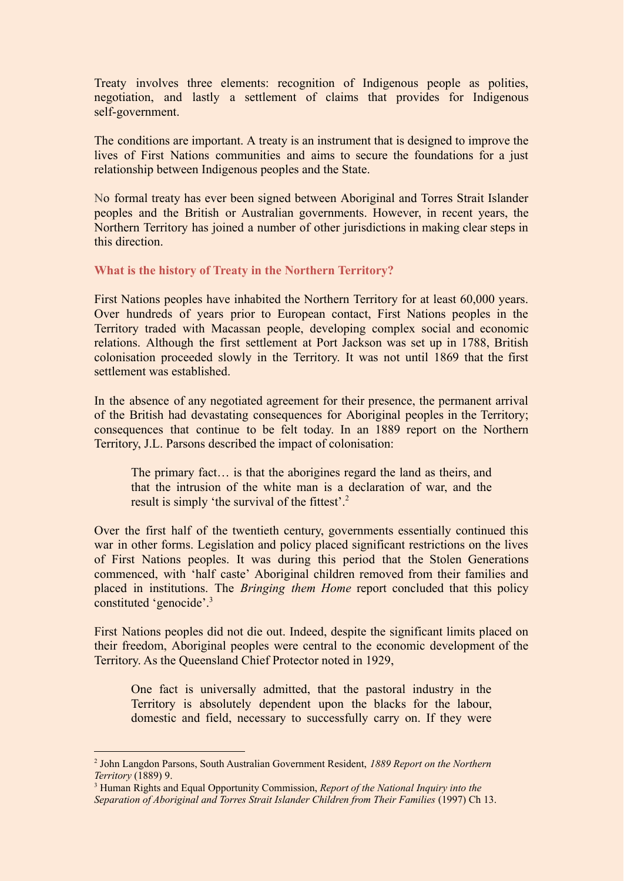Treaty involves three elements: recognition of Indigenous people as polities, negotiation, and lastly a settlement of claims that provides for Indigenous self-government.

The conditions are important. A treaty is an instrument that is designed to improve the lives of First Nations communities and aims to secure the foundations for a just relationship between Indigenous peoples and the State.

No formal treaty has ever been signed between Aboriginal and Torres Strait Islander peoples and the British or Australian governments. However, in recent years, the Northern Territory has joined a number of other jurisdictions in making clear steps in this direction.

**What is the history of Treaty in the Northern Territory?**

First Nations peoples have inhabited the Northern Territory for at least 60,000 years. Over hundreds of years prior to European contact, First Nations peoples in the Territory traded with Macassan people, developing complex social and economic relations. Although the first settlement at Port Jackson was set up in 1788, British colonisation proceeded slowly in the Territory. It was not until 1869 that the first settlement was established.

In the absence of any negotiated agreement for their presence, the permanent arrival of the British had devastating consequences for Aboriginal peoples in the Territory; consequences that continue to be felt today. In an 1889 report on the Northern Territory, J.L. Parsons described the impact of colonisation:

The primary fact… is that the aborigines regard the land as theirs, and that the intrusion of the white man is a declaration of war, and the result is simply 'the survival of the fittest'.<sup>2</sup>

Over the first half of the twentieth century, governments essentially continued this war in other forms. Legislation and policy placed significant restrictions on the lives of First Nations peoples. It was during this period that the Stolen Generations commenced, with 'half caste' Aboriginal children removed from their families and placed in institutions. The *Bringing them Home* report concluded that this policy constituted 'genocide'.<sup>3</sup>

First Nations peoples did not die out. Indeed, despite the significant limits placed on their freedom, Aboriginal peoples were central to the economic development of the Territory. As the Queensland Chief Protector noted in 1929,

One fact is universally admitted, that the pastoral industry in the Territory is absolutely dependent upon the blacks for the labour, domestic and field, necessary to successfully carry on. If they were

<sup>2</sup> John Langdon Parsons, South Australian Government Resident, *1889 Report on the Northern Territory* (1889) 9.

<sup>3</sup> Human Rights and Equal Opportunity Commission, *Report of the National Inquiry into the Separation of Aboriginal and Torres Strait Islander Children from Their Families* (1997) Ch 13.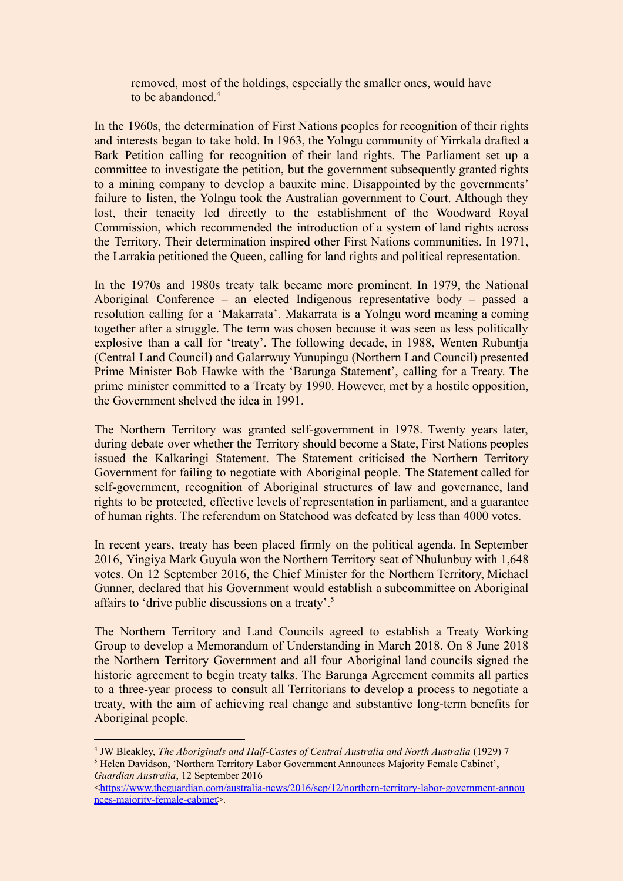removed, most of the holdings, especially the smaller ones, would have to be abandoned<sup>4</sup>

In the 1960s, the determination of First Nations peoples for recognition of their rights and interests began to take hold. In 1963, the Yolngu community of Yirrkala drafted a Bark Petition calling for recognition of their land rights. The Parliament set up a committee to investigate the petition, but the government subsequently granted rights to a mining company to develop a bauxite mine. Disappointed by the governments' failure to listen, the Yolngu took the Australian government to Court. Although they lost, their tenacity led directly to the establishment of the Woodward Royal Commission, which recommended the introduction of a system of land rights across the Territory. Their determination inspired other First Nations communities. In 1971, the Larrakia petitioned the Queen, calling for land rights and political representation.

In the 1970s and 1980s treaty talk became more prominent. In 1979, the National Aboriginal Conference – an elected Indigenous representative body – passed a resolution calling for a 'Makarrata'. Makarrata is a Yolngu word meaning a coming together after a struggle. The term was chosen because it was seen as less politically explosive than a call for 'treaty'. The following decade, in 1988, Wenten Rubuntja (Central Land Council) and Galarrwuy Yunupingu (Northern Land Council) presented Prime Minister Bob Hawke with the 'Barunga Statement', calling for a Treaty. The prime minister committed to a Treaty by 1990. However, met by a hostile opposition, the Government shelved the idea in 1991.

The Northern Territory was granted self-government in 1978. Twenty years later, during debate over whether the Territory should become a State, First Nations peoples issued the Kalkaringi Statement. The Statement criticised the Northern Territory Government for failing to negotiate with Aboriginal people. The Statement called for self-government, recognition of Aboriginal structures of law and governance, land rights to be protected, effective levels of representation in parliament, and a guarantee of human rights. The referendum on Statehood was defeated by less than 4000 votes.

In recent years, treaty has been placed firmly on the political agenda. In September 2016, Yingiya Mark Guyula won the Northern Territory seat of Nhulunbuy with 1,648 votes. On 12 September 2016, the Chief Minister for the Northern Territory, Michael Gunner, declared that his Government would establish a subcommittee on Aboriginal affairs to 'drive public discussions on a treaty'.<sup>5</sup>

The Northern Territory and Land Councils agreed to establish a Treaty Working Group to develop a Memorandum of Understanding in March 2018. On 8 June 2018 the Northern Territory Government and all four Aboriginal land councils signed the historic agreement to begin treaty talks. The Barunga Agreement commits all parties to a three-year process to consult all Territorians to develop a process to negotiate a treaty, with the aim of achieving real change and substantive long-term benefits for Aboriginal people.

<sup>5</sup> Helen Davidson, 'Northern Territory Labor Government Announces Majority Female Cabinet', *Guardian Australia*, 12 September 2016 <sup>4</sup> JW Bleakley, *The Aboriginals and Half-Castes of Central Australia and North Australia* (1929) 7

<sup>&</sup>lt;[https://www.theguardian.com/australia-news/2016/sep/12/northern-territory-labor-government-annou](https://www.theguardian.com/australia-news/2016/sep/12/northern-territory-labor-government-announces-majority-female-cabinet) [nces-majority-female-cabinet>](https://www.theguardian.com/australia-news/2016/sep/12/northern-territory-labor-government-announces-majority-female-cabinet).